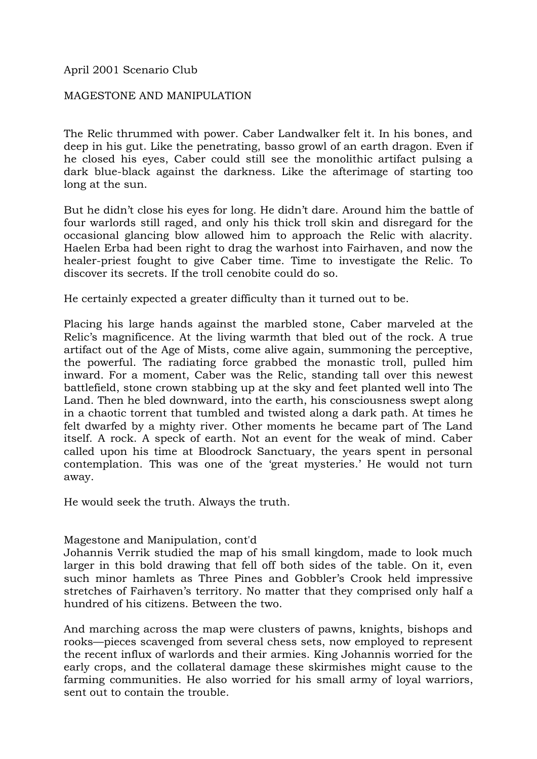April 2001 Scenario Club

## MAGESTONE AND MANIPULATION

The Relic thrummed with power. Caber Landwalker felt it. In his bones, and deep in his gut. Like the penetrating, basso growl of an earth dragon. Even if he closed his eyes, Caber could still see the monolithic artifact pulsing a dark blue-black against the darkness. Like the afterimage of starting too long at the sun.

But he didn't close his eyes for long. He didn't dare. Around him the battle of four warlords still raged, and only his thick troll skin and disregard for the occasional glancing blow allowed him to approach the Relic with alacrity. Haelen Erba had been right to drag the warhost into Fairhaven, and now the healer-priest fought to give Caber time. Time to investigate the Relic. To discover its secrets. If the troll cenobite could do so.

He certainly expected a greater difficulty than it turned out to be.

Placing his large hands against the marbled stone, Caber marveled at the Relic's magnificence. At the living warmth that bled out of the rock. A true artifact out of the Age of Mists, come alive again, summoning the perceptive, the powerful. The radiating force grabbed the monastic troll, pulled him inward. For a moment, Caber was the Relic, standing tall over this newest battlefield, stone crown stabbing up at the sky and feet planted well into The Land. Then he bled downward, into the earth, his consciousness swept along in a chaotic torrent that tumbled and twisted along a dark path. At times he felt dwarfed by a mighty river. Other moments he became part of The Land itself. A rock. A speck of earth. Not an event for the weak of mind. Caber called upon his time at Bloodrock Sanctuary, the years spent in personal contemplation. This was one of the 'great mysteries.' He would not turn away.

He would seek the truth. Always the truth.

## Magestone and Manipulation, cont'd

Johannis Verrik studied the map of his small kingdom, made to look much larger in this bold drawing that fell off both sides of the table. On it, even such minor hamlets as Three Pines and Gobbler's Crook held impressive stretches of Fairhaven's territory. No matter that they comprised only half a hundred of his citizens. Between the two.

And marching across the map were clusters of pawns, knights, bishops and rooks—pieces scavenged from several chess sets, now employed to represent the recent influx of warlords and their armies. King Johannis worried for the early crops, and the collateral damage these skirmishes might cause to the farming communities. He also worried for his small army of loyal warriors, sent out to contain the trouble.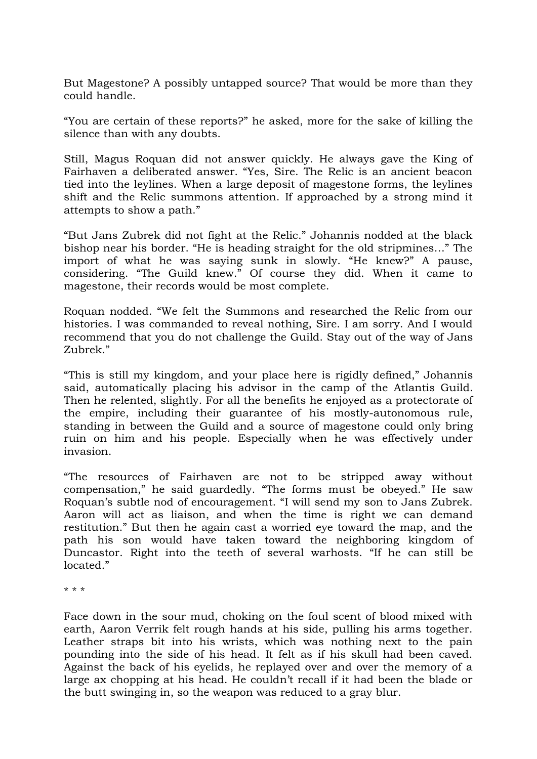But Magestone? A possibly untapped source? That would be more than they could handle.

"You are certain of these reports?" he asked, more for the sake of killing the silence than with any doubts.

Still, Magus Roquan did not answer quickly. He always gave the King of Fairhaven a deliberated answer. "Yes, Sire. The Relic is an ancient beacon tied into the leylines. When a large deposit of magestone forms, the leylines shift and the Relic summons attention. If approached by a strong mind it attempts to show a path."

"But Jans Zubrek did not fight at the Relic." Johannis nodded at the black bishop near his border. "He is heading straight for the old stripmines…" The import of what he was saying sunk in slowly. "He knew?" A pause, considering. "The Guild knew." Of course they did. When it came to magestone, their records would be most complete.

Roquan nodded. "We felt the Summons and researched the Relic from our histories. I was commanded to reveal nothing, Sire. I am sorry. And I would recommend that you do not challenge the Guild. Stay out of the way of Jans Zubrek."

"This is still my kingdom, and your place here is rigidly defined," Johannis said, automatically placing his advisor in the camp of the Atlantis Guild. Then he relented, slightly. For all the benefits he enjoyed as a protectorate of the empire, including their guarantee of his mostly-autonomous rule, standing in between the Guild and a source of magestone could only bring ruin on him and his people. Especially when he was effectively under invasion.

"The resources of Fairhaven are not to be stripped away without compensation," he said guardedly. "The forms must be obeyed." He saw Roquan's subtle nod of encouragement. "I will send my son to Jans Zubrek. Aaron will act as liaison, and when the time is right we can demand restitution." But then he again cast a worried eye toward the map, and the path his son would have taken toward the neighboring kingdom of Duncastor. Right into the teeth of several warhosts. "If he can still be located."

\* \* \*

Face down in the sour mud, choking on the foul scent of blood mixed with earth, Aaron Verrik felt rough hands at his side, pulling his arms together. Leather straps bit into his wrists, which was nothing next to the pain pounding into the side of his head. It felt as if his skull had been caved. Against the back of his eyelids, he replayed over and over the memory of a large ax chopping at his head. He couldn't recall if it had been the blade or the butt swinging in, so the weapon was reduced to a gray blur.